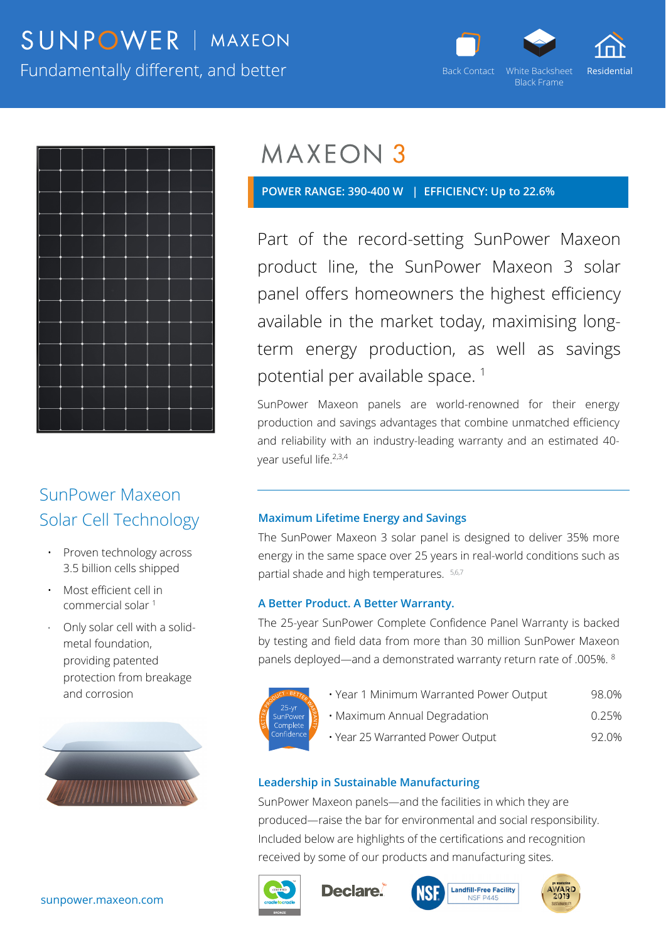# SUNPOWER | MAXEON

Fundamentally different, and better





## SunPower Maxeon Solar Cell Technology

- Proven technology across 3.5 billion cells shipped
- Most efficient cell in commercial solar 1
- Only solar cell with a solidmetal foundation, providing patented protection from breakage and corrosion



 **POWER RANGE: 390-400 W | EFFICIENCY: Up to 22.6%** 

Part of the record-setting SunPower Maxeon product line, the SunPower Maxeon 3 solar panel offers homeowners the highest efficiency available in the market today, maximising longterm energy production, as well as savings potential per available space.<sup>1</sup>

SunPower Maxeon panels are world-renowned for their energy production and savings advantages that combine unmatched efficiency and reliability with an industry-leading warranty and an estimated 40 year useful life.<sup>2,3,4</sup>

#### **Maximum Lifetime Energy and Savings**

The SunPower Maxeon 3 solar panel is designed to deliver 35% more energy in the same space over 25 years in real-world conditions such as partial shade and high temperatures. 5,6,7

#### **A Better Product. A Better Warranty.**

The 25-year SunPower Complete Confidence Panel Warranty is backed by testing and field data from more than 30 million SunPower Maxeon panels deployed—and a demonstrated warranty return rate of .005%. 8



- Year 1 Minimum Warranted Power Output 98.0% • Maximum Annual Degradation 0.25%
- 
- Year 25 Warranted Power Output 92.0%

### **Leadership in Sustainable Manufacturing**

SunPower Maxeon panels—and the facilities in which they are produced—raise the bar for environmental and social responsibility. Included below are highlights of the certifications and recognition received by some of our products and manufacturing sites.